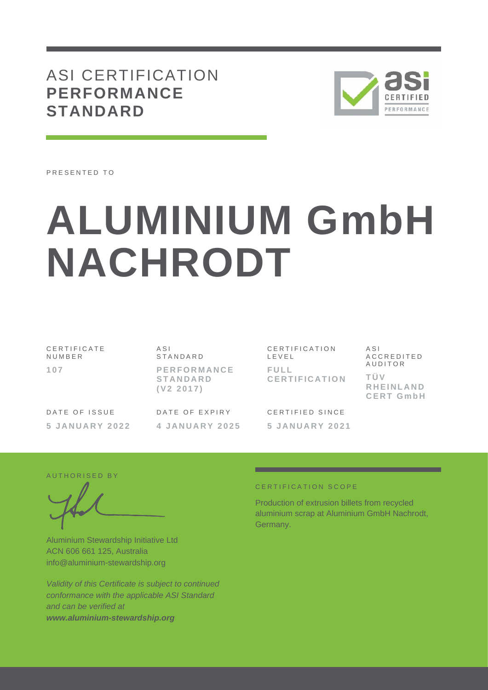# ASI CERTIFICATION **PERFORMANCE STANDARD**



PRESENTED TO

# **ALUMINIUM GmbH NACHRODT**

C E R T I F I C A T E N U M B E R **107**

 $A S I$ **STANDARD P E R F O R M A N C E S T A N D A R D ( V 2 2 0 1 7 )**

DATE OF ISSUE **5 J A N U A R Y 2022** DATE OF EXPIRY **4 J A N U A R Y 202 5**

C E R T I F I C A T I O N L E V E L **F U L L C E R T I F I C A T I O N**

CERTIFIED SINCE **5 J A N U A R Y 2 0 2 1**  $A S I$ A C C R E D I T E D A U D I T O R **T Ü V R H E I N L A N D C E R T G m b H**

AUTHORISED BY

Aluminium Stewardship Initiative Ltd ACN 606 661 125, Australia info@aluminium-stewardship.org

*Validity of this Certificate is subject to continued conformance with the applicable ASI Standard and can be verified at www.aluminium-stewardship.org*

#### C E R T I F I C A T I O N S C O P F

Production of extrusion billets from recycled aluminium scrap at Aluminium GmbH Nachrodt, Germany.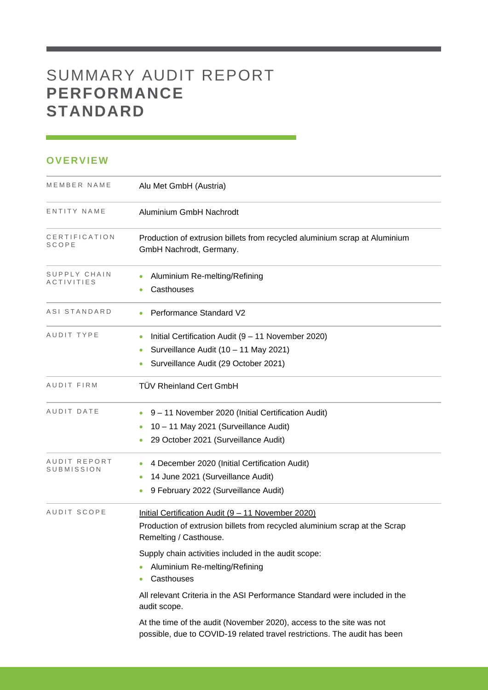# SUMMARY AUDIT REPORT **PERFORMANCE STANDARD**

## **OVERVIEW**

| MEMBER NAME                | Alu Met GmbH (Austria)                                                                                                                                     |
|----------------------------|------------------------------------------------------------------------------------------------------------------------------------------------------------|
| ENTITY NAME                | Aluminium GmbH Nachrodt                                                                                                                                    |
| CERTIFICATION<br>SCOPE     | Production of extrusion billets from recycled aluminium scrap at Aluminium<br>GmbH Nachrodt, Germany.                                                      |
| SUPPLY CHAIN<br>ACTIVITIES | Aluminium Re-melting/Refining<br>Casthouses                                                                                                                |
| ASI STANDARD               | Performance Standard V2                                                                                                                                    |
| AUDIT TYPE                 | Initial Certification Audit (9 - 11 November 2020)<br>Surveillance Audit (10 - 11 May 2021)<br>۰<br>Surveillance Audit (29 October 2021)                   |
| <b>AUDIT FIRM</b>          | <b>TÜV Rheinland Cert GmbH</b>                                                                                                                             |
| AUDIT DATE                 | 9 - 11 November 2020 (Initial Certification Audit)<br>10 - 11 May 2021 (Surveillance Audit)<br>29 October 2021 (Surveillance Audit)                        |
| AUDIT REPORT<br>SUBMISSION | 4 December 2020 (Initial Certification Audit)<br>14 June 2021 (Surveillance Audit)<br>9 February 2022 (Surveillance Audit)                                 |
| AUDIT SCOPE                | Initial Certification Audit (9 - 11 November 2020)<br>Production of extrusion billets from recycled aluminium scrap at the Scrap<br>Remelting / Casthouse. |
|                            | Supply chain activities included in the audit scope:<br>Aluminium Re-melting/Refining<br>Casthouses                                                        |
|                            | All relevant Criteria in the ASI Performance Standard were included in the<br>audit scope.                                                                 |
|                            | At the time of the audit (November 2020), access to the site was not<br>possible, due to COVID-19 related travel restrictions. The audit has been          |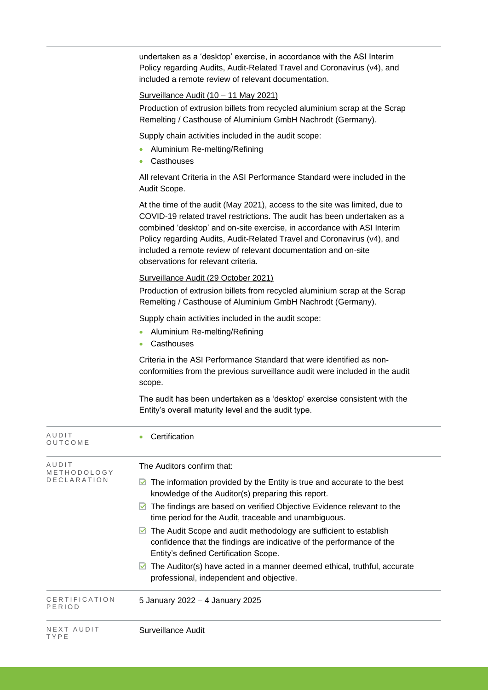undertaken as a 'desktop' exercise, in accordance with the ASI Interim Policy regarding Audits, Audit-Related Travel and Coronavirus (v4), and included a remote review of relevant documentation.

### Surveillance Audit (10 – 11 May 2021)

Production of extrusion billets from recycled aluminium scrap at the Scrap Remelting / Casthouse of Aluminium GmbH Nachrodt (Germany).

Supply chain activities included in the audit scope:

- Aluminium Re-melting/Refining
- Casthouses

All relevant Criteria in the ASI Performance Standard were included in the Audit Scope.

At the time of the audit (May 2021), access to the site was limited, due to COVID-19 related travel restrictions. The audit has been undertaken as a combined 'desktop' and on-site exercise, in accordance with ASI Interim Policy regarding Audits, Audit-Related Travel and Coronavirus (v4), and included a remote review of relevant documentation and on-site observations for relevant criteria.

#### Surveillance Audit (29 October 2021)

Production of extrusion billets from recycled aluminium scrap at the Scrap Remelting / Casthouse of Aluminium GmbH Nachrodt (Germany).

Supply chain activities included in the audit scope:

- Aluminium Re-melting/Refining
- Casthouses

Criteria in the ASI Performance Standard that were identified as nonconformities from the previous surveillance audit were included in the audit scope.

The audit has been undertaken as a 'desktop' exercise consistent with the Entity's overall maturity level and the audit type.

| AUDIT<br>OUTCOME                    | Certification                                                                                                                                                                            |
|-------------------------------------|------------------------------------------------------------------------------------------------------------------------------------------------------------------------------------------|
| AUDIT<br>METHODOLOGY<br>DECLARATION | The Auditors confirm that:<br>The information provided by the Entity is true and accurate to the best<br>M                                                                               |
|                                     | knowledge of the Auditor(s) preparing this report.                                                                                                                                       |
|                                     | $\blacksquare$ The findings are based on verified Objective Evidence relevant to the<br>time period for the Audit, traceable and unambiguous.                                            |
|                                     | The Audit Scope and audit methodology are sufficient to establish<br>M<br>confidence that the findings are indicative of the performance of the<br>Entity's defined Certification Scope. |
|                                     | $\boxtimes$ The Auditor(s) have acted in a manner deemed ethical, truthful, accurate<br>professional, independent and objective.                                                         |
| CERTIFICATION<br>PERIOD             | 5 January 2022 - 4 January 2025                                                                                                                                                          |
| NEXT AUDIT<br>TYPE                  | Surveillance Audit                                                                                                                                                                       |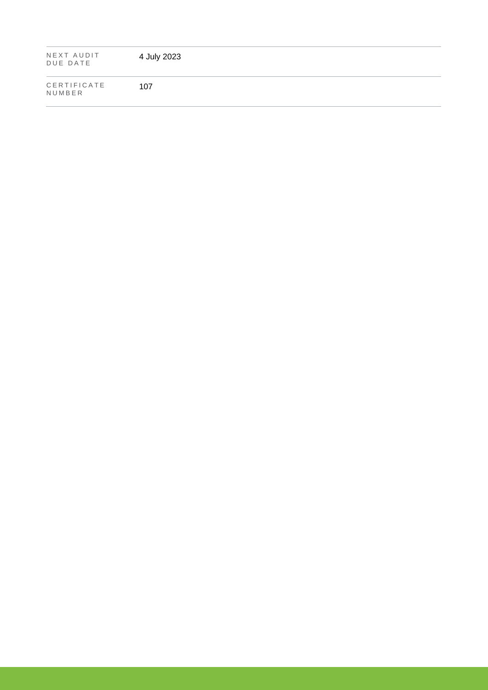| NEXT AUDIT<br>DUE DATE | 4 July 2023 |
|------------------------|-------------|
| CERTIFICATE<br>NUMBER  | 107         |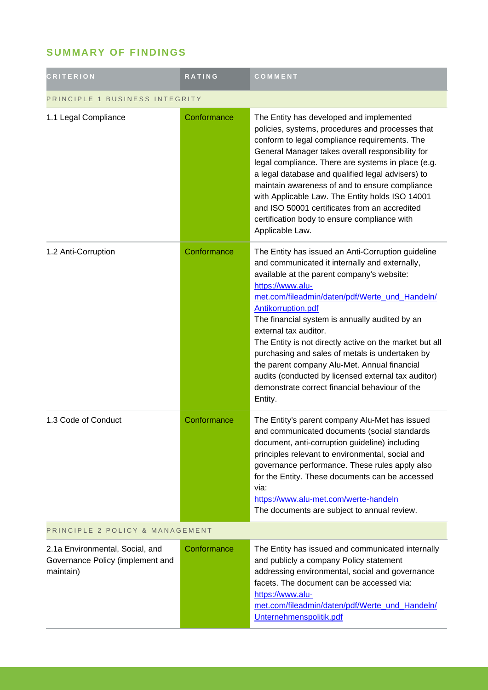# **SUMMARY OF FINDINGS**

| <b>CRITERION</b>                                                                 | <b>RATING</b> | COMMENT                                                                                                                                                                                                                                                                                                                                                                                                                                                                                                                                                                                                     |  |
|----------------------------------------------------------------------------------|---------------|-------------------------------------------------------------------------------------------------------------------------------------------------------------------------------------------------------------------------------------------------------------------------------------------------------------------------------------------------------------------------------------------------------------------------------------------------------------------------------------------------------------------------------------------------------------------------------------------------------------|--|
| PRINCIPLE 1 BUSINESS INTEGRITY                                                   |               |                                                                                                                                                                                                                                                                                                                                                                                                                                                                                                                                                                                                             |  |
| 1.1 Legal Compliance                                                             | Conformance   | The Entity has developed and implemented<br>policies, systems, procedures and processes that<br>conform to legal compliance requirements. The<br>General Manager takes overall responsibility for<br>legal compliance. There are systems in place (e.g.<br>a legal database and qualified legal advisers) to<br>maintain awareness of and to ensure compliance<br>with Applicable Law. The Entity holds ISO 14001<br>and ISO 50001 certificates from an accredited<br>certification body to ensure compliance with<br>Applicable Law.                                                                       |  |
| 1.2 Anti-Corruption                                                              | Conformance   | The Entity has issued an Anti-Corruption guideline<br>and communicated it internally and externally,<br>available at the parent company's website:<br>https://www.alu-<br>met.com/fileadmin/daten/pdf/Werte_und_Handeln/<br>Antikorruption.pdf<br>The financial system is annually audited by an<br>external tax auditor.<br>The Entity is not directly active on the market but all<br>purchasing and sales of metals is undertaken by<br>the parent company Alu-Met. Annual financial<br>audits (conducted by licensed external tax auditor)<br>demonstrate correct financial behaviour of the<br>Entity. |  |
| 1.3 Code of Conduct                                                              | Conformance   | The Entity's parent company Alu-Met has issued<br>and communicated documents (social standards<br>document, anti-corruption guideline) including<br>principles relevant to environmental, social and<br>governance performance. These rules apply also<br>for the Entity. These documents can be accessed<br>via:<br>https://www.alu-met.com/werte-handeln<br>The documents are subject to annual review.                                                                                                                                                                                                   |  |
| PRINCIPLE 2 POLICY & MANAGEMENT                                                  |               |                                                                                                                                                                                                                                                                                                                                                                                                                                                                                                                                                                                                             |  |
| 2.1a Environmental, Social, and<br>Governance Policy (implement and<br>maintain) | Conformance   | The Entity has issued and communicated internally<br>and publicly a company Policy statement<br>addressing environmental, social and governance<br>facets. The document can be accessed via:<br>https://www.alu-<br>met.com/fileadmin/daten/pdf/Werte und Handeln/<br>Unternehmenspolitik.pdf                                                                                                                                                                                                                                                                                                               |  |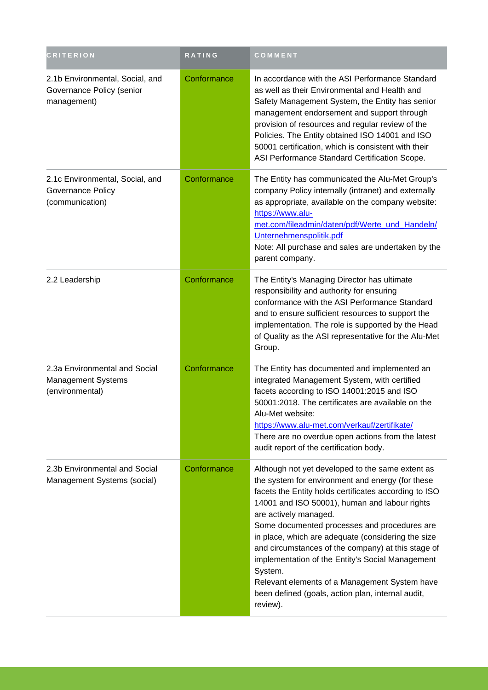| <b>CRITERION</b>                                                            | RATING      | COMMENT                                                                                                                                                                                                                                                                                                                                                                                                                                                                                                                                                                              |
|-----------------------------------------------------------------------------|-------------|--------------------------------------------------------------------------------------------------------------------------------------------------------------------------------------------------------------------------------------------------------------------------------------------------------------------------------------------------------------------------------------------------------------------------------------------------------------------------------------------------------------------------------------------------------------------------------------|
| 2.1b Environmental, Social, and<br>Governance Policy (senior<br>management) | Conformance | In accordance with the ASI Performance Standard<br>as well as their Environmental and Health and<br>Safety Management System, the Entity has senior<br>management endorsement and support through<br>provision of resources and regular review of the<br>Policies. The Entity obtained ISO 14001 and ISO<br>50001 certification, which is consistent with their<br>ASI Performance Standard Certification Scope.                                                                                                                                                                     |
| 2.1c Environmental, Social, and<br>Governance Policy<br>(communication)     | Conformance | The Entity has communicated the Alu-Met Group's<br>company Policy internally (intranet) and externally<br>as appropriate, available on the company website:<br>https://www.alu-<br>met.com/fileadmin/daten/pdf/Werte_und_Handeln/<br>Unternehmenspolitik.pdf<br>Note: All purchase and sales are undertaken by the<br>parent company.                                                                                                                                                                                                                                                |
| 2.2 Leadership                                                              | Conformance | The Entity's Managing Director has ultimate<br>responsibility and authority for ensuring<br>conformance with the ASI Performance Standard<br>and to ensure sufficient resources to support the<br>implementation. The role is supported by the Head<br>of Quality as the ASI representative for the Alu-Met<br>Group.                                                                                                                                                                                                                                                                |
| 2.3a Environmental and Social<br>Management Systems<br>(environmental)      | Conformance | The Entity has documented and implemented an<br>integrated Management System, with certified<br>facets according to ISO 14001:2015 and ISO<br>50001:2018. The certificates are available on the<br>Alu-Met website:<br>https://www.alu-met.com/verkauf/zertifikate/<br>There are no overdue open actions from the latest<br>audit report of the certification body.                                                                                                                                                                                                                  |
| 2.3b Environmental and Social<br>Management Systems (social)                | Conformance | Although not yet developed to the same extent as<br>the system for environment and energy (for these<br>facets the Entity holds certificates according to ISO<br>14001 and ISO 50001), human and labour rights<br>are actively managed.<br>Some documented processes and procedures are<br>in place, which are adequate (considering the size<br>and circumstances of the company) at this stage of<br>implementation of the Entity's Social Management<br>System.<br>Relevant elements of a Management System have<br>been defined (goals, action plan, internal audit,<br>review). |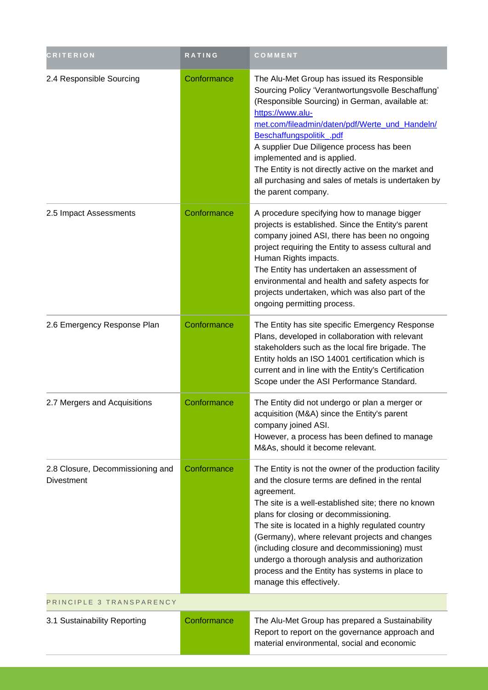| <b>CRITERION</b>                                      | RATING      | COMMENT                                                                                                                                                                                                                                                                                                                                                                                                                                                                                                       |  |
|-------------------------------------------------------|-------------|---------------------------------------------------------------------------------------------------------------------------------------------------------------------------------------------------------------------------------------------------------------------------------------------------------------------------------------------------------------------------------------------------------------------------------------------------------------------------------------------------------------|--|
| 2.4 Responsible Sourcing                              | Conformance | The Alu-Met Group has issued its Responsible<br>Sourcing Policy 'Verantwortungsvolle Beschaffung'<br>(Responsible Sourcing) in German, available at:<br>https://www.alu-<br>met.com/fileadmin/daten/pdf/Werte_und_Handeln/<br>Beschaffungspolitik_.pdf<br>A supplier Due Diligence process has been<br>implemented and is applied.<br>The Entity is not directly active on the market and<br>all purchasing and sales of metals is undertaken by<br>the parent company.                                       |  |
| 2.5 Impact Assessments                                | Conformance | A procedure specifying how to manage bigger<br>projects is established. Since the Entity's parent<br>company joined ASI, there has been no ongoing<br>project requiring the Entity to assess cultural and<br>Human Rights impacts.<br>The Entity has undertaken an assessment of<br>environmental and health and safety aspects for<br>projects undertaken, which was also part of the<br>ongoing permitting process.                                                                                         |  |
| 2.6 Emergency Response Plan                           | Conformance | The Entity has site specific Emergency Response<br>Plans, developed in collaboration with relevant<br>stakeholders such as the local fire brigade. The<br>Entity holds an ISO 14001 certification which is<br>current and in line with the Entity's Certification<br>Scope under the ASI Performance Standard.                                                                                                                                                                                                |  |
| 2.7 Mergers and Acquisitions                          | Conformance | The Entity did not undergo or plan a merger or<br>acquisition (M&A) since the Entity's parent<br>company joined ASI.<br>However, a process has been defined to manage<br>M&As, should it become relevant.                                                                                                                                                                                                                                                                                                     |  |
| 2.8 Closure, Decommissioning and<br><b>Divestment</b> | Conformance | The Entity is not the owner of the production facility<br>and the closure terms are defined in the rental<br>agreement.<br>The site is a well-established site; there no known<br>plans for closing or decommissioning.<br>The site is located in a highly regulated country<br>(Germany), where relevant projects and changes<br>(including closure and decommissioning) must<br>undergo a thorough analysis and authorization<br>process and the Entity has systems in place to<br>manage this effectively. |  |
| PRINCIPLE 3 TRANSPARENCY                              |             |                                                                                                                                                                                                                                                                                                                                                                                                                                                                                                               |  |
| 3.1 Sustainability Reporting                          | Conformance | The Alu-Met Group has prepared a Sustainability<br>Report to report on the governance approach and<br>material environmental, social and economic                                                                                                                                                                                                                                                                                                                                                             |  |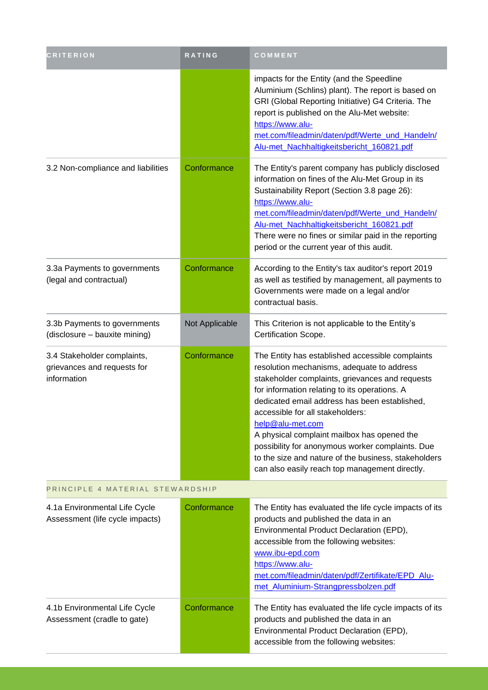| <b>CRITERION</b>                                                          | RATING         | COMMENT                                                                                                                                                                                                                                                                                                                                                                                                                                                                                                                  |
|---------------------------------------------------------------------------|----------------|--------------------------------------------------------------------------------------------------------------------------------------------------------------------------------------------------------------------------------------------------------------------------------------------------------------------------------------------------------------------------------------------------------------------------------------------------------------------------------------------------------------------------|
|                                                                           |                | impacts for the Entity (and the Speedline<br>Aluminium (Schlins) plant). The report is based on<br>GRI (Global Reporting Initiative) G4 Criteria. The<br>report is published on the Alu-Met website:<br>https://www.alu-<br>met.com/fileadmin/daten/pdf/Werte_und_Handeln/<br>Alu-met_Nachhaltigkeitsbericht_160821.pdf                                                                                                                                                                                                  |
| 3.2 Non-compliance and liabilities                                        | Conformance    | The Entity's parent company has publicly disclosed<br>information on fines of the Alu-Met Group in its<br>Sustainability Report (Section 3.8 page 26):<br>https://www.alu-<br>met.com/fileadmin/daten/pdf/Werte_und_Handeln/<br>Alu-met_Nachhaltigkeitsbericht_160821.pdf<br>There were no fines or similar paid in the reporting<br>period or the current year of this audit.                                                                                                                                           |
| 3.3a Payments to governments<br>(legal and contractual)                   | Conformance    | According to the Entity's tax auditor's report 2019<br>as well as testified by management, all payments to<br>Governments were made on a legal and/or<br>contractual basis.                                                                                                                                                                                                                                                                                                                                              |
| 3.3b Payments to governments<br>(disclosure - bauxite mining)             | Not Applicable | This Criterion is not applicable to the Entity's<br>Certification Scope.                                                                                                                                                                                                                                                                                                                                                                                                                                                 |
| 3.4 Stakeholder complaints,<br>grievances and requests for<br>information | Conformance    | The Entity has established accessible complaints<br>resolution mechanisms, adequate to address<br>stakeholder complaints, grievances and requests<br>for information relating to its operations. A<br>dedicated email address has been established,<br>accessible for all stakeholders:<br>help@alu-met.com<br>A physical complaint mailbox has opened the<br>possibility for anonymous worker complaints. Due<br>to the size and nature of the business, stakeholders<br>can also easily reach top management directly. |
| PRINCIPLE 4 MATERIAL STEWARDSHIP                                          |                |                                                                                                                                                                                                                                                                                                                                                                                                                                                                                                                          |
| 4.1a Environmental Life Cycle<br>Assessment (life cycle impacts)          | Conformance    | The Entity has evaluated the life cycle impacts of its<br>products and published the data in an<br>Environmental Product Declaration (EPD),<br>accessible from the following websites:<br>www.ibu-epd.com<br>https://www.alu-<br>met.com/fileadmin/daten/pdf/Zertifikate/EPD Alu-<br>met_Aluminium-Strangpressbolzen.pdf                                                                                                                                                                                                 |
| 4.1b Environmental Life Cycle<br>Assessment (cradle to gate)              | Conformance    | The Entity has evaluated the life cycle impacts of its<br>products and published the data in an<br>Environmental Product Declaration (EPD),<br>accessible from the following websites:                                                                                                                                                                                                                                                                                                                                   |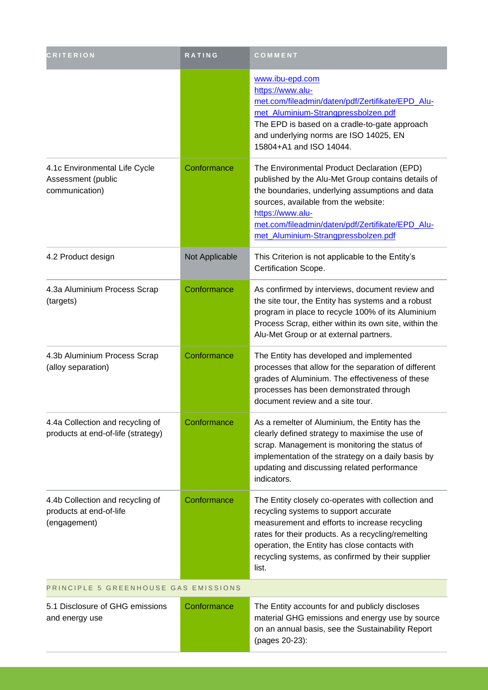| <b>CRITERION</b>                                                            | <b>RATING</b>  | COMMENT                                                                                                                                                                                                                                                                                                           |  |
|-----------------------------------------------------------------------------|----------------|-------------------------------------------------------------------------------------------------------------------------------------------------------------------------------------------------------------------------------------------------------------------------------------------------------------------|--|
|                                                                             |                | www.ibu-epd.com<br>https://www.alu-<br>met.com/fileadmin/daten/pdf/Zertifikate/EPD_Alu-<br>met Aluminium-Strangpressbolzen.pdf<br>The EPD is based on a cradle-to-gate approach<br>and underlying norms are ISO 14025, EN<br>15804+A1 and ISO 14044.                                                              |  |
| 4.1c Environmental Life Cycle<br>Assessment (public<br>communication)       | Conformance    | The Environmental Product Declaration (EPD)<br>published by the Alu-Met Group contains details of<br>the boundaries, underlying assumptions and data<br>sources, available from the website:<br>https://www.alu-<br>met.com/fileadmin/daten/pdf/Zertifikate/EPD_Alu-<br>met_Aluminium-Strangpressbolzen.pdf       |  |
| 4.2 Product design                                                          | Not Applicable | This Criterion is not applicable to the Entity's<br>Certification Scope.                                                                                                                                                                                                                                          |  |
| 4.3a Aluminium Process Scrap<br>(targets)                                   | Conformance    | As confirmed by interviews, document review and<br>the site tour, the Entity has systems and a robust<br>program in place to recycle 100% of its Aluminium<br>Process Scrap, either within its own site, within the<br>Alu-Met Group or at external partners.                                                     |  |
| 4.3b Aluminium Process Scrap<br>(alloy separation)                          | Conformance    | The Entity has developed and implemented<br>processes that allow for the separation of different<br>grades of Aluminium. The effectiveness of these<br>processes has been demonstrated through<br>document review and a site tour.                                                                                |  |
| 4.4a Collection and recycling of<br>products at end-of-life (strategy)      | Conformance    | As a remelter of Aluminium, the Entity has the<br>clearly defined strategy to maximise the use of<br>scrap. Management is monitoring the status of<br>implementation of the strategy on a daily basis by<br>updating and discussing related performance<br>indicators.                                            |  |
| 4.4b Collection and recycling of<br>products at end-of-life<br>(engagement) | Conformance    | The Entity closely co-operates with collection and<br>recycling systems to support accurate<br>measurement and efforts to increase recycling<br>rates for their products. As a recycling/remelting<br>operation, the Entity has close contacts with<br>recycling systems, as confirmed by their supplier<br>list. |  |
| PRINCIPLE 5 GREENHOUSE GAS EMISSIONS                                        |                |                                                                                                                                                                                                                                                                                                                   |  |
| 5.1 Disclosure of GHG emissions<br>and energy use                           | Conformance    | The Entity accounts for and publicly discloses<br>material GHG emissions and energy use by source<br>on an annual basis, see the Sustainability Report<br>(pages 20-23):                                                                                                                                          |  |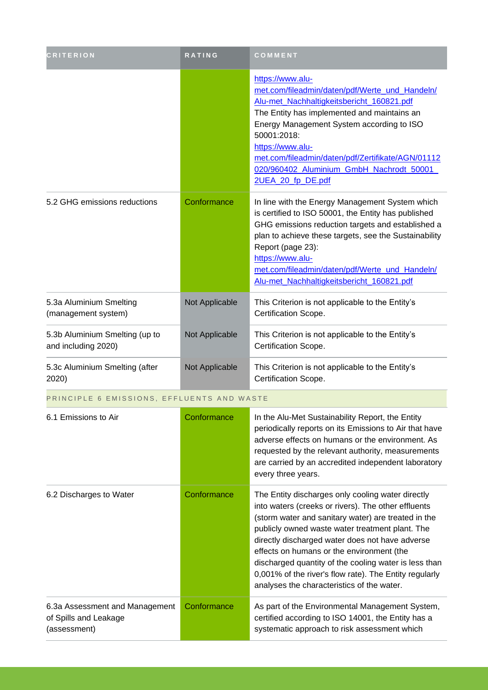| <b>CRITERION</b>                                                        | RATING         | COMMENT                                                                                                                                                                                                                                                                                                                                                                                                                                                                             |
|-------------------------------------------------------------------------|----------------|-------------------------------------------------------------------------------------------------------------------------------------------------------------------------------------------------------------------------------------------------------------------------------------------------------------------------------------------------------------------------------------------------------------------------------------------------------------------------------------|
|                                                                         |                | https://www.alu-<br>met.com/fileadmin/daten/pdf/Werte_und_Handeln/<br>Alu-met_Nachhaltigkeitsbericht_160821.pdf<br>The Entity has implemented and maintains an<br>Energy Management System according to ISO<br>50001:2018:<br>https://www.alu-<br>met.com/fileadmin/daten/pdf/Zertifikate/AGN/01112<br>020/960402 Aluminium GmbH Nachrodt 50001<br>2UEA_20_fp_DE.pdf                                                                                                                |
| 5.2 GHG emissions reductions                                            | Conformance    | In line with the Energy Management System which<br>is certified to ISO 50001, the Entity has published<br>GHG emissions reduction targets and established a<br>plan to achieve these targets, see the Sustainability<br>Report (page 23):<br>https://www.alu-<br>met.com/fileadmin/daten/pdf/Werte_und_Handeln/<br>Alu-met_Nachhaltigkeitsbericht_160821.pdf                                                                                                                        |
| 5.3a Aluminium Smelting<br>(management system)                          | Not Applicable | This Criterion is not applicable to the Entity's<br>Certification Scope.                                                                                                                                                                                                                                                                                                                                                                                                            |
| 5.3b Aluminium Smelting (up to<br>and including 2020)                   | Not Applicable | This Criterion is not applicable to the Entity's<br>Certification Scope.                                                                                                                                                                                                                                                                                                                                                                                                            |
| 5.3c Aluminium Smelting (after<br>2020)                                 | Not Applicable | This Criterion is not applicable to the Entity's<br>Certification Scope.                                                                                                                                                                                                                                                                                                                                                                                                            |
| PRINCIPLE 6 EMISSIONS, EFFLUENTS AND WASTE                              |                |                                                                                                                                                                                                                                                                                                                                                                                                                                                                                     |
| 6.1 Emissions to Air                                                    | Conformance    | In the Alu-Met Sustainability Report, the Entity<br>periodically reports on its Emissions to Air that have<br>adverse effects on humans or the environment. As<br>requested by the relevant authority, measurements<br>are carried by an accredited independent laboratory<br>every three years.                                                                                                                                                                                    |
| 6.2 Discharges to Water                                                 | Conformance    | The Entity discharges only cooling water directly<br>into waters (creeks or rivers). The other effluents<br>(storm water and sanitary water) are treated in the<br>publicly owned waste water treatment plant. The<br>directly discharged water does not have adverse<br>effects on humans or the environment (the<br>discharged quantity of the cooling water is less than<br>0,001% of the river's flow rate). The Entity regularly<br>analyses the characteristics of the water. |
| 6.3a Assessment and Management<br>of Spills and Leakage<br>(assessment) | Conformance    | As part of the Environmental Management System,<br>certified according to ISO 14001, the Entity has a<br>systematic approach to risk assessment which                                                                                                                                                                                                                                                                                                                               |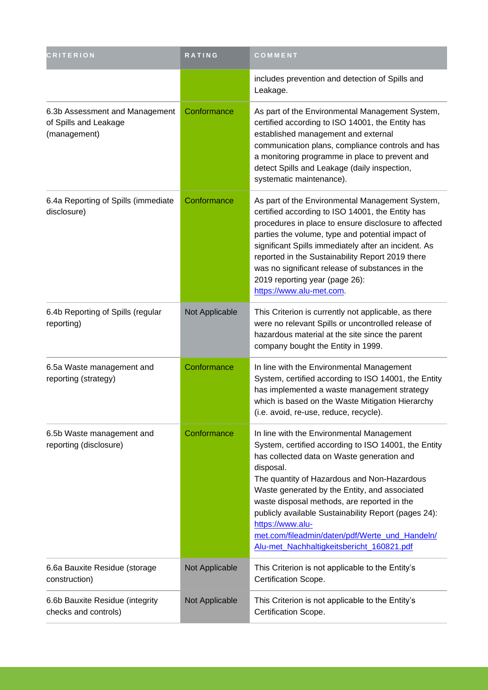| <b>CRITERION</b>                                                        | RATING         | COMMENT                                                                                                                                                                                                                                                                                                                                                                                                                                                                                |
|-------------------------------------------------------------------------|----------------|----------------------------------------------------------------------------------------------------------------------------------------------------------------------------------------------------------------------------------------------------------------------------------------------------------------------------------------------------------------------------------------------------------------------------------------------------------------------------------------|
|                                                                         |                | includes prevention and detection of Spills and<br>Leakage.                                                                                                                                                                                                                                                                                                                                                                                                                            |
| 6.3b Assessment and Management<br>of Spills and Leakage<br>(management) | Conformance    | As part of the Environmental Management System,<br>certified according to ISO 14001, the Entity has<br>established management and external<br>communication plans, compliance controls and has<br>a monitoring programme in place to prevent and<br>detect Spills and Leakage (daily inspection,<br>systematic maintenance).                                                                                                                                                           |
| 6.4a Reporting of Spills (immediate<br>disclosure)                      | Conformance    | As part of the Environmental Management System,<br>certified according to ISO 14001, the Entity has<br>procedures in place to ensure disclosure to affected<br>parties the volume, type and potential impact of<br>significant Spills immediately after an incident. As<br>reported in the Sustainability Report 2019 there<br>was no significant release of substances in the<br>2019 reporting year (page 26):<br>https://www.alu-met.com.                                           |
| 6.4b Reporting of Spills (regular<br>reporting)                         | Not Applicable | This Criterion is currently not applicable, as there<br>were no relevant Spills or uncontrolled release of<br>hazardous material at the site since the parent<br>company bought the Entity in 1999.                                                                                                                                                                                                                                                                                    |
| 6.5a Waste management and<br>reporting (strategy)                       | Conformance    | In line with the Environmental Management<br>System, certified according to ISO 14001, the Entity<br>has implemented a waste management strategy<br>which is based on the Waste Mitigation Hierarchy<br>(i.e. avoid, re-use, reduce, recycle).                                                                                                                                                                                                                                         |
| 6.5b Waste management and<br>reporting (disclosure)                     | Conformance    | In line with the Environmental Management<br>System, certified according to ISO 14001, the Entity<br>has collected data on Waste generation and<br>disposal.<br>The quantity of Hazardous and Non-Hazardous<br>Waste generated by the Entity, and associated<br>waste disposal methods, are reported in the<br>publicly available Sustainability Report (pages 24):<br>https://www.alu-<br>met.com/fileadmin/daten/pdf/Werte_und_Handeln/<br>Alu-met_Nachhaltigkeitsbericht_160821.pdf |
| 6.6a Bauxite Residue (storage<br>construction)                          | Not Applicable | This Criterion is not applicable to the Entity's<br>Certification Scope.                                                                                                                                                                                                                                                                                                                                                                                                               |
| 6.6b Bauxite Residue (integrity<br>checks and controls)                 | Not Applicable | This Criterion is not applicable to the Entity's<br>Certification Scope.                                                                                                                                                                                                                                                                                                                                                                                                               |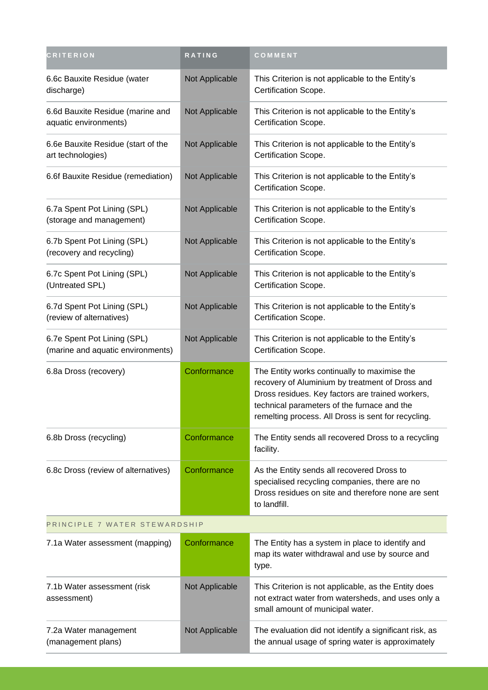| <b>CRITERION</b>                                                 | RATING         | COMMENT                                                                                                                                                                                                                                                   |  |
|------------------------------------------------------------------|----------------|-----------------------------------------------------------------------------------------------------------------------------------------------------------------------------------------------------------------------------------------------------------|--|
| 6.6c Bauxite Residue (water<br>discharge)                        | Not Applicable | This Criterion is not applicable to the Entity's<br>Certification Scope.                                                                                                                                                                                  |  |
| 6.6d Bauxite Residue (marine and<br>aquatic environments)        | Not Applicable | This Criterion is not applicable to the Entity's<br>Certification Scope.                                                                                                                                                                                  |  |
| 6.6e Bauxite Residue (start of the<br>art technologies)          | Not Applicable | This Criterion is not applicable to the Entity's<br>Certification Scope.                                                                                                                                                                                  |  |
| 6.6f Bauxite Residue (remediation)                               | Not Applicable | This Criterion is not applicable to the Entity's<br>Certification Scope.                                                                                                                                                                                  |  |
| 6.7a Spent Pot Lining (SPL)<br>(storage and management)          | Not Applicable | This Criterion is not applicable to the Entity's<br>Certification Scope.                                                                                                                                                                                  |  |
| 6.7b Spent Pot Lining (SPL)<br>(recovery and recycling)          | Not Applicable | This Criterion is not applicable to the Entity's<br>Certification Scope.                                                                                                                                                                                  |  |
| 6.7c Spent Pot Lining (SPL)<br>(Untreated SPL)                   | Not Applicable | This Criterion is not applicable to the Entity's<br>Certification Scope.                                                                                                                                                                                  |  |
| 6.7d Spent Pot Lining (SPL)<br>(review of alternatives)          | Not Applicable | This Criterion is not applicable to the Entity's<br>Certification Scope.                                                                                                                                                                                  |  |
| 6.7e Spent Pot Lining (SPL)<br>(marine and aquatic environments) | Not Applicable | This Criterion is not applicable to the Entity's<br>Certification Scope.                                                                                                                                                                                  |  |
| 6.8a Dross (recovery)                                            | Conformance    | The Entity works continually to maximise the<br>recovery of Aluminium by treatment of Dross and<br>Dross residues. Key factors are trained workers,<br>technical parameters of the furnace and the<br>remelting process. All Dross is sent for recycling. |  |
| 6.8b Dross (recycling)                                           | Conformance    | The Entity sends all recovered Dross to a recycling<br>facility.                                                                                                                                                                                          |  |
| 6.8c Dross (review of alternatives)                              | Conformance    | As the Entity sends all recovered Dross to<br>specialised recycling companies, there are no<br>Dross residues on site and therefore none are sent<br>to landfill.                                                                                         |  |
| PRINCIPLE 7 WATER STEWARDSHIP                                    |                |                                                                                                                                                                                                                                                           |  |
| 7.1a Water assessment (mapping)                                  | Conformance    | The Entity has a system in place to identify and<br>map its water withdrawal and use by source and<br>type.                                                                                                                                               |  |
| 7.1b Water assessment (risk<br>assessment)                       | Not Applicable | This Criterion is not applicable, as the Entity does<br>not extract water from watersheds, and uses only a<br>small amount of municipal water.                                                                                                            |  |
| 7.2a Water management<br>(management plans)                      | Not Applicable | The evaluation did not identify a significant risk, as<br>the annual usage of spring water is approximately                                                                                                                                               |  |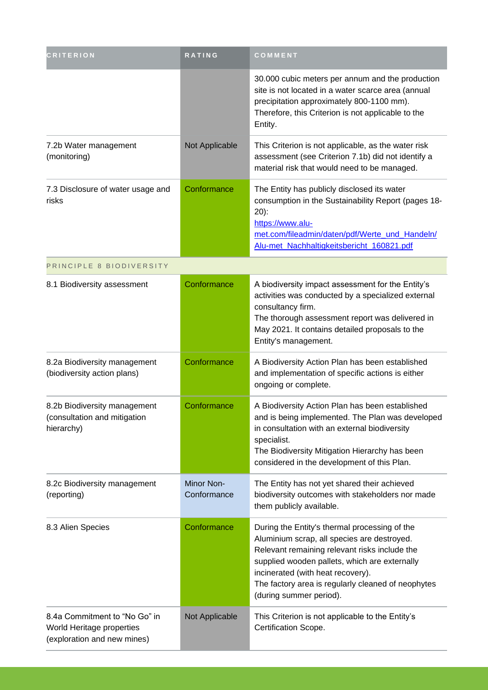| <b>CRITERION</b>                                                                          | RATING                    | COMMENT                                                                                                                                                                                                                                                                                                              |
|-------------------------------------------------------------------------------------------|---------------------------|----------------------------------------------------------------------------------------------------------------------------------------------------------------------------------------------------------------------------------------------------------------------------------------------------------------------|
|                                                                                           |                           | 30.000 cubic meters per annum and the production<br>site is not located in a water scarce area (annual<br>precipitation approximately 800-1100 mm).<br>Therefore, this Criterion is not applicable to the<br>Entity.                                                                                                 |
| 7.2b Water management<br>(monitoring)                                                     | Not Applicable            | This Criterion is not applicable, as the water risk<br>assessment (see Criterion 7.1b) did not identify a<br>material risk that would need to be managed.                                                                                                                                                            |
| 7.3 Disclosure of water usage and<br>risks                                                | Conformance               | The Entity has publicly disclosed its water<br>consumption in the Sustainability Report (pages 18-<br>$20)$ :<br>https://www.alu-<br>met.com/fileadmin/daten/pdf/Werte_und_Handeln/<br>Alu-met_Nachhaltigkeitsbericht_160821.pdf                                                                                     |
| PRINCIPLE 8 BIODIVERSITY                                                                  |                           |                                                                                                                                                                                                                                                                                                                      |
| 8.1 Biodiversity assessment                                                               | Conformance               | A biodiversity impact assessment for the Entity's<br>activities was conducted by a specialized external<br>consultancy firm.<br>The thorough assessment report was delivered in<br>May 2021. It contains detailed proposals to the<br>Entity's management.                                                           |
| 8.2a Biodiversity management<br>(biodiversity action plans)                               | Conformance               | A Biodiversity Action Plan has been established<br>and implementation of specific actions is either<br>ongoing or complete.                                                                                                                                                                                          |
| 8.2b Biodiversity management<br>(consultation and mitigation<br>hierarchy)                | Conformance               | A Biodiversity Action Plan has been established<br>and is being implemented. The Plan was developed<br>in consultation with an external biodiversity<br>specialist.<br>The Biodiversity Mitigation Hierarchy has been<br>considered in the development of this Plan.                                                 |
| 8.2c Biodiversity management<br>(reporting)                                               | Minor Non-<br>Conformance | The Entity has not yet shared their achieved<br>biodiversity outcomes with stakeholders nor made<br>them publicly available.                                                                                                                                                                                         |
| 8.3 Alien Species                                                                         | Conformance               | During the Entity's thermal processing of the<br>Aluminium scrap, all species are destroyed.<br>Relevant remaining relevant risks include the<br>supplied wooden pallets, which are externally<br>incinerated (with heat recovery).<br>The factory area is regularly cleaned of neophytes<br>(during summer period). |
| 8.4a Commitment to "No Go" in<br>World Heritage properties<br>(exploration and new mines) | Not Applicable            | This Criterion is not applicable to the Entity's<br>Certification Scope.                                                                                                                                                                                                                                             |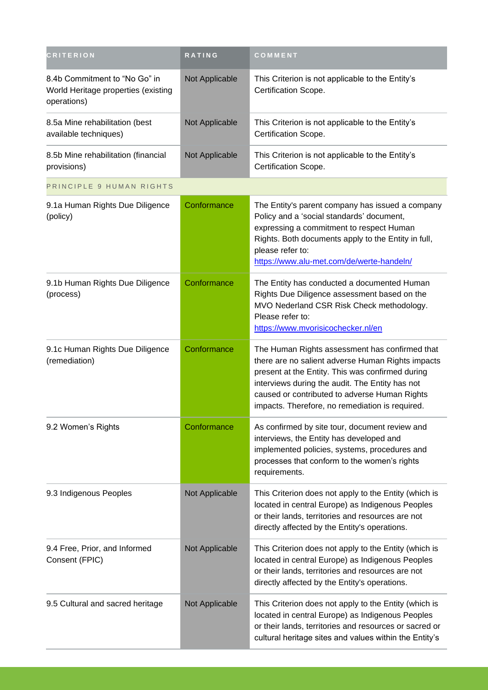| <b>CRITERION</b>                                                                    | RATING         | COMMENT                                                                                                                                                                                                                                                                                                        |
|-------------------------------------------------------------------------------------|----------------|----------------------------------------------------------------------------------------------------------------------------------------------------------------------------------------------------------------------------------------------------------------------------------------------------------------|
| 8.4b Commitment to "No Go" in<br>World Heritage properties (existing<br>operations) | Not Applicable | This Criterion is not applicable to the Entity's<br>Certification Scope.                                                                                                                                                                                                                                       |
| 8.5a Mine rehabilitation (best<br>available techniques)                             | Not Applicable | This Criterion is not applicable to the Entity's<br>Certification Scope.                                                                                                                                                                                                                                       |
| 8.5b Mine rehabilitation (financial<br>provisions)                                  | Not Applicable | This Criterion is not applicable to the Entity's<br>Certification Scope.                                                                                                                                                                                                                                       |
| PRINCIPLE 9 HUMAN RIGHTS                                                            |                |                                                                                                                                                                                                                                                                                                                |
| 9.1a Human Rights Due Diligence<br>(policy)                                         | Conformance    | The Entity's parent company has issued a company<br>Policy and a 'social standards' document,<br>expressing a commitment to respect Human<br>Rights. Both documents apply to the Entity in full,<br>please refer to:<br>https://www.alu-met.com/de/werte-handeln/                                              |
| 9.1b Human Rights Due Diligence<br>(process)                                        | Conformance    | The Entity has conducted a documented Human<br>Rights Due Diligence assessment based on the<br>MVO Nederland CSR Risk Check methodology.<br>Please refer to:<br>https://www.mvorisicochecker.nl/en                                                                                                             |
| 9.1c Human Rights Due Diligence<br>(remediation)                                    | Conformance    | The Human Rights assessment has confirmed that<br>there are no salient adverse Human Rights impacts<br>present at the Entity. This was confirmed during<br>interviews during the audit. The Entity has not<br>caused or contributed to adverse Human Rights<br>impacts. Therefore, no remediation is required. |
| 9.2 Women's Rights                                                                  | Conformance    | As confirmed by site tour, document review and<br>interviews, the Entity has developed and<br>implemented policies, systems, procedures and<br>processes that conform to the women's rights<br>requirements.                                                                                                   |
| 9.3 Indigenous Peoples                                                              | Not Applicable | This Criterion does not apply to the Entity (which is<br>located in central Europe) as Indigenous Peoples<br>or their lands, territories and resources are not<br>directly affected by the Entity's operations.                                                                                                |
| 9.4 Free, Prior, and Informed<br>Consent (FPIC)                                     | Not Applicable | This Criterion does not apply to the Entity (which is<br>located in central Europe) as Indigenous Peoples<br>or their lands, territories and resources are not<br>directly affected by the Entity's operations.                                                                                                |
| 9.5 Cultural and sacred heritage                                                    | Not Applicable | This Criterion does not apply to the Entity (which is<br>located in central Europe) as Indigenous Peoples<br>or their lands, territories and resources or sacred or<br>cultural heritage sites and values within the Entity's                                                                                  |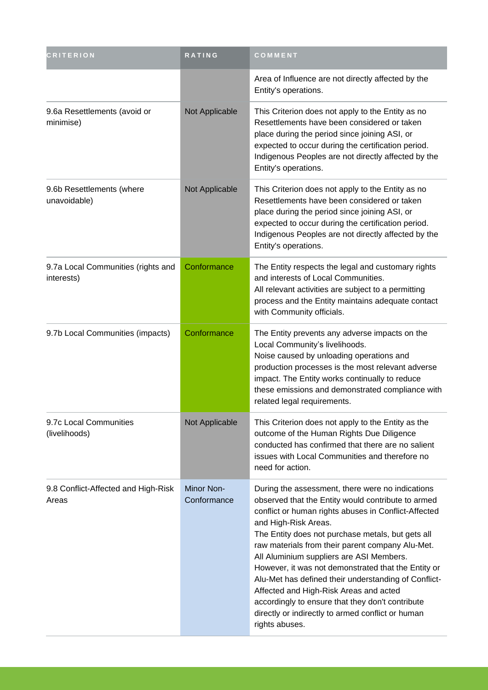| <b>CRITERION</b>                                 | RATING                           | COMMENT                                                                                                                                                                                                                                                                                                                                                                                                                                                                                                                                                                                                                         |
|--------------------------------------------------|----------------------------------|---------------------------------------------------------------------------------------------------------------------------------------------------------------------------------------------------------------------------------------------------------------------------------------------------------------------------------------------------------------------------------------------------------------------------------------------------------------------------------------------------------------------------------------------------------------------------------------------------------------------------------|
|                                                  |                                  | Area of Influence are not directly affected by the<br>Entity's operations.                                                                                                                                                                                                                                                                                                                                                                                                                                                                                                                                                      |
| 9.6a Resettlements (avoid or<br>minimise)        | Not Applicable                   | This Criterion does not apply to the Entity as no<br>Resettlements have been considered or taken<br>place during the period since joining ASI, or<br>expected to occur during the certification period.<br>Indigenous Peoples are not directly affected by the<br>Entity's operations.                                                                                                                                                                                                                                                                                                                                          |
| 9.6b Resettlements (where<br>unavoidable)        | Not Applicable                   | This Criterion does not apply to the Entity as no<br>Resettlements have been considered or taken<br>place during the period since joining ASI, or<br>expected to occur during the certification period.<br>Indigenous Peoples are not directly affected by the<br>Entity's operations.                                                                                                                                                                                                                                                                                                                                          |
| 9.7a Local Communities (rights and<br>interests) | Conformance                      | The Entity respects the legal and customary rights<br>and interests of Local Communities.<br>All relevant activities are subject to a permitting<br>process and the Entity maintains adequate contact<br>with Community officials.                                                                                                                                                                                                                                                                                                                                                                                              |
| 9.7b Local Communities (impacts)                 | Conformance                      | The Entity prevents any adverse impacts on the<br>Local Community's livelihoods.<br>Noise caused by unloading operations and<br>production processes is the most relevant adverse<br>impact. The Entity works continually to reduce<br>these emissions and demonstrated compliance with<br>related legal requirements.                                                                                                                                                                                                                                                                                                          |
| 9.7c Local Communities<br>(livelihoods)          | Not Applicable                   | This Criterion does not apply to the Entity as the<br>outcome of the Human Rights Due Diligence<br>conducted has confirmed that there are no salient<br>issues with Local Communities and therefore no<br>need for action.                                                                                                                                                                                                                                                                                                                                                                                                      |
| 9.8 Conflict-Affected and High-Risk<br>Areas     | <b>Minor Non-</b><br>Conformance | During the assessment, there were no indications<br>observed that the Entity would contribute to armed<br>conflict or human rights abuses in Conflict-Affected<br>and High-Risk Areas.<br>The Entity does not purchase metals, but gets all<br>raw materials from their parent company Alu-Met.<br>All Aluminium suppliers are ASI Members.<br>However, it was not demonstrated that the Entity or<br>Alu-Met has defined their understanding of Conflict-<br>Affected and High-Risk Areas and acted<br>accordingly to ensure that they don't contribute<br>directly or indirectly to armed conflict or human<br>rights abuses. |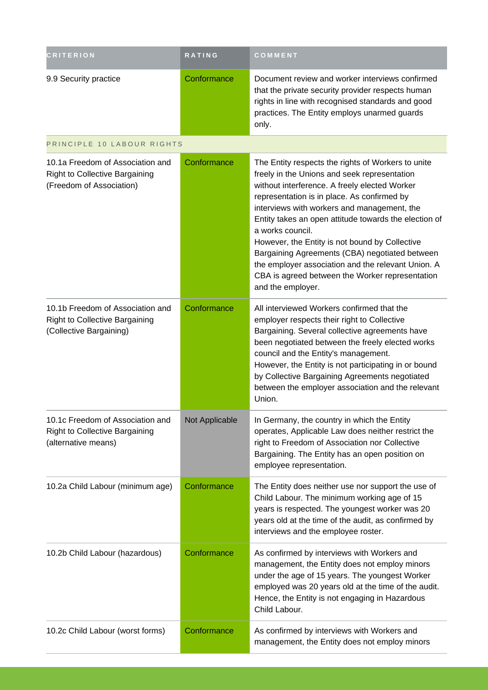| <b>CRITERION</b>                                                                                      | <b>RATING</b>  | <b>COMMENT</b>                                                                                                                                                                                                                                                                                                                                                                                                                                                                                                                                                   |
|-------------------------------------------------------------------------------------------------------|----------------|------------------------------------------------------------------------------------------------------------------------------------------------------------------------------------------------------------------------------------------------------------------------------------------------------------------------------------------------------------------------------------------------------------------------------------------------------------------------------------------------------------------------------------------------------------------|
| 9.9 Security practice                                                                                 | Conformance    | Document review and worker interviews confirmed<br>that the private security provider respects human<br>rights in line with recognised standards and good<br>practices. The Entity employs unarmed guards<br>only.                                                                                                                                                                                                                                                                                                                                               |
| PRINCIPLE 10 LABOUR RIGHTS                                                                            |                |                                                                                                                                                                                                                                                                                                                                                                                                                                                                                                                                                                  |
| 10.1a Freedom of Association and<br><b>Right to Collective Bargaining</b><br>(Freedom of Association) | Conformance    | The Entity respects the rights of Workers to unite<br>freely in the Unions and seek representation<br>without interference. A freely elected Worker<br>representation is in place. As confirmed by<br>interviews with workers and management, the<br>Entity takes an open attitude towards the election of<br>a works council.<br>However, the Entity is not bound by Collective<br>Bargaining Agreements (CBA) negotiated between<br>the employer association and the relevant Union. A<br>CBA is agreed between the Worker representation<br>and the employer. |
| 10.1b Freedom of Association and<br><b>Right to Collective Bargaining</b><br>(Collective Bargaining)  | Conformance    | All interviewed Workers confirmed that the<br>employer respects their right to Collective<br>Bargaining. Several collective agreements have<br>been negotiated between the freely elected works<br>council and the Entity's management.<br>However, the Entity is not participating in or bound<br>by Collective Bargaining Agreements negotiated<br>between the employer association and the relevant<br>Union.                                                                                                                                                 |
| 10.1c Freedom of Association and<br><b>Right to Collective Bargaining</b><br>(alternative means)      | Not Applicable | In Germany, the country in which the Entity<br>operates, Applicable Law does neither restrict the<br>right to Freedom of Association nor Collective<br>Bargaining. The Entity has an open position on<br>employee representation.                                                                                                                                                                                                                                                                                                                                |
| 10.2a Child Labour (minimum age)                                                                      | Conformance    | The Entity does neither use nor support the use of<br>Child Labour. The minimum working age of 15<br>years is respected. The youngest worker was 20<br>years old at the time of the audit, as confirmed by<br>interviews and the employee roster.                                                                                                                                                                                                                                                                                                                |
| 10.2b Child Labour (hazardous)                                                                        | Conformance    | As confirmed by interviews with Workers and<br>management, the Entity does not employ minors<br>under the age of 15 years. The youngest Worker<br>employed was 20 years old at the time of the audit.<br>Hence, the Entity is not engaging in Hazardous<br>Child Labour.                                                                                                                                                                                                                                                                                         |
| 10.2c Child Labour (worst forms)                                                                      | Conformance    | As confirmed by interviews with Workers and<br>management, the Entity does not employ minors                                                                                                                                                                                                                                                                                                                                                                                                                                                                     |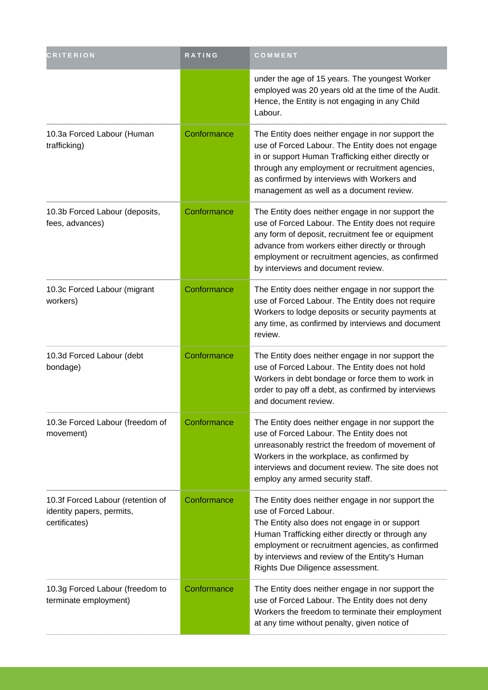| <b>CRITERION</b>                                                                | RATING      | COMMENT                                                                                                                                                                                                                                                                                                                   |
|---------------------------------------------------------------------------------|-------------|---------------------------------------------------------------------------------------------------------------------------------------------------------------------------------------------------------------------------------------------------------------------------------------------------------------------------|
|                                                                                 |             | under the age of 15 years. The youngest Worker<br>employed was 20 years old at the time of the Audit.<br>Hence, the Entity is not engaging in any Child<br>Labour.                                                                                                                                                        |
| 10.3a Forced Labour (Human<br>trafficking)                                      | Conformance | The Entity does neither engage in nor support the<br>use of Forced Labour. The Entity does not engage<br>in or support Human Trafficking either directly or<br>through any employment or recruitment agencies,<br>as confirmed by interviews with Workers and<br>management as well as a document review.                 |
| 10.3b Forced Labour (deposits,<br>fees, advances)                               | Conformance | The Entity does neither engage in nor support the<br>use of Forced Labour. The Entity does not require<br>any form of deposit, recruitment fee or equipment<br>advance from workers either directly or through<br>employment or recruitment agencies, as confirmed<br>by interviews and document review.                  |
| 10.3c Forced Labour (migrant<br>workers)                                        | Conformance | The Entity does neither engage in nor support the<br>use of Forced Labour. The Entity does not require<br>Workers to lodge deposits or security payments at<br>any time, as confirmed by interviews and document<br>review.                                                                                               |
| 10.3d Forced Labour (debt<br>bondage)                                           | Conformance | The Entity does neither engage in nor support the<br>use of Forced Labour. The Entity does not hold<br>Workers in debt bondage or force them to work in<br>order to pay off a debt, as confirmed by interviews<br>and document review.                                                                                    |
| 10.3e Forced Labour (freedom of<br>movement)                                    | Conformance | The Entity does neither engage in nor support the<br>use of Forced Labour. The Entity does not<br>unreasonably restrict the freedom of movement of<br>Workers in the workplace, as confirmed by<br>interviews and document review. The site does not<br>employ any armed security staff.                                  |
| 10.3f Forced Labour (retention of<br>identity papers, permits,<br>certificates) | Conformance | The Entity does neither engage in nor support the<br>use of Forced Labour.<br>The Entity also does not engage in or support<br>Human Trafficking either directly or through any<br>employment or recruitment agencies, as confirmed<br>by interviews and review of the Entity's Human<br>Rights Due Diligence assessment. |
| 10.3g Forced Labour (freedom to<br>terminate employment)                        | Conformance | The Entity does neither engage in nor support the<br>use of Forced Labour. The Entity does not deny<br>Workers the freedom to terminate their employment<br>at any time without penalty, given notice of                                                                                                                  |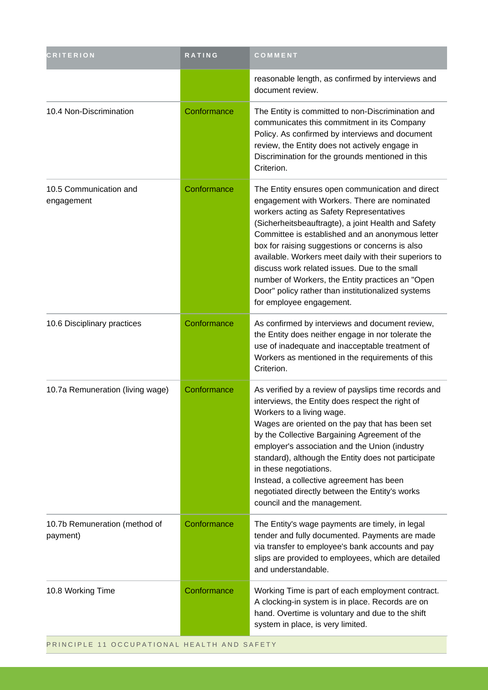| <b>CRITERION</b>                          | RATING      | COMMENT                                                                                                                                                                                                                                                                                                                                                                                                                                                                                                                                                    |
|-------------------------------------------|-------------|------------------------------------------------------------------------------------------------------------------------------------------------------------------------------------------------------------------------------------------------------------------------------------------------------------------------------------------------------------------------------------------------------------------------------------------------------------------------------------------------------------------------------------------------------------|
|                                           |             | reasonable length, as confirmed by interviews and<br>document review.                                                                                                                                                                                                                                                                                                                                                                                                                                                                                      |
| 10.4 Non-Discrimination                   | Conformance | The Entity is committed to non-Discrimination and<br>communicates this commitment in its Company<br>Policy. As confirmed by interviews and document<br>review, the Entity does not actively engage in<br>Discrimination for the grounds mentioned in this<br>Criterion.                                                                                                                                                                                                                                                                                    |
| 10.5 Communication and<br>engagement      | Conformance | The Entity ensures open communication and direct<br>engagement with Workers. There are nominated<br>workers acting as Safety Representatives<br>(Sicherheitsbeauftragte), a joint Health and Safety<br>Committee is established and an anonymous letter<br>box for raising suggestions or concerns is also<br>available. Workers meet daily with their superiors to<br>discuss work related issues. Due to the small<br>number of Workers, the Entity practices an "Open<br>Door" policy rather than institutionalized systems<br>for employee engagement. |
| 10.6 Disciplinary practices               | Conformance | As confirmed by interviews and document review,<br>the Entity does neither engage in nor tolerate the<br>use of inadequate and inacceptable treatment of<br>Workers as mentioned in the requirements of this<br>Criterion.                                                                                                                                                                                                                                                                                                                                 |
| 10.7a Remuneration (living wage)          | Conformance | As verified by a review of payslips time records and<br>interviews, the Entity does respect the right of<br>Workers to a living wage.<br>Wages are oriented on the pay that has been set<br>by the Collective Bargaining Agreement of the<br>employer's association and the Union (industry<br>standard), although the Entity does not participate<br>in these negotiations.<br>Instead, a collective agreement has been<br>negotiated directly between the Entity's works<br>council and the management.                                                  |
| 10.7b Remuneration (method of<br>payment) | Conformance | The Entity's wage payments are timely, in legal<br>tender and fully documented. Payments are made<br>via transfer to employee's bank accounts and pay<br>slips are provided to employees, which are detailed<br>and understandable.                                                                                                                                                                                                                                                                                                                        |
| 10.8 Working Time                         | Conformance | Working Time is part of each employment contract.<br>A clocking-in system is in place. Records are on<br>hand. Overtime is voluntary and due to the shift<br>system in place, is very limited.                                                                                                                                                                                                                                                                                                                                                             |

PRINCIPLE 11 OCCUPATIONAL HEALTH AND SAFETY